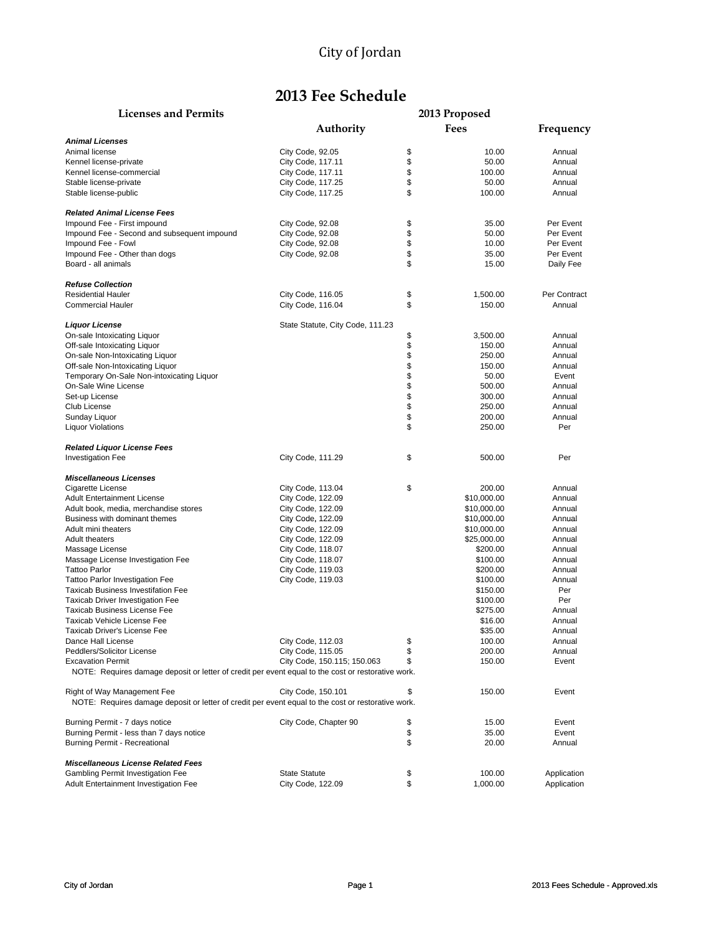# **2013 Fee Schedule**

#### **Licenses and Permits 2013 Proposed**

|                                                                                                                                   | Authority                        | <b>Fees</b>    |              |
|-----------------------------------------------------------------------------------------------------------------------------------|----------------------------------|----------------|--------------|
| <b>Animal Licenses</b>                                                                                                            |                                  |                | Frequency    |
| Animal license                                                                                                                    | City Code, 92.05                 | \$<br>10.00    | Annual       |
| Kennel license-private                                                                                                            | City Code, 117.11                | \$<br>50.00    | Annual       |
| Kennel license-commercial                                                                                                         | City Code, 117.11                | \$<br>100.00   | Annual       |
| Stable license-private                                                                                                            | City Code, 117.25                | \$<br>50.00    | Annual       |
| Stable license-public                                                                                                             | City Code, 117.25                | \$<br>100.00   | Annual       |
| <b>Related Animal License Fees</b>                                                                                                |                                  |                |              |
| Impound Fee - First impound                                                                                                       | City Code, 92.08                 | \$<br>35.00    | Per Event    |
| Impound Fee - Second and subsequent impound                                                                                       | City Code, 92.08                 | \$<br>50.00    | Per Event    |
| Impound Fee - Fowl                                                                                                                | City Code, 92.08                 | \$<br>10.00    | Per Event    |
| Impound Fee - Other than dogs                                                                                                     | City Code, 92.08                 | \$<br>35.00    | Per Event    |
| Board - all animals                                                                                                               |                                  | \$<br>15.00    | Daily Fee    |
| <b>Refuse Collection</b>                                                                                                          |                                  |                |              |
| <b>Residential Hauler</b>                                                                                                         | City Code, 116.05                | \$<br>1,500.00 | Per Contract |
| <b>Commercial Hauler</b>                                                                                                          | City Code, 116.04                | \$<br>150.00   | Annual       |
| <b>Liquor License</b>                                                                                                             | State Statute, City Code, 111.23 |                |              |
| On-sale Intoxicating Liquor                                                                                                       |                                  | \$<br>3,500.00 | Annual       |
| Off-sale Intoxicating Liquor                                                                                                      |                                  | \$<br>150.00   | Annual       |
| On-sale Non-Intoxicating Liquor                                                                                                   |                                  | \$<br>250.00   | Annual       |
| Off-sale Non-Intoxicating Liquor                                                                                                  |                                  | \$<br>150.00   | Annual       |
| Temporary On-Sale Non-intoxicating Liquor                                                                                         |                                  | \$<br>50.00    | Event        |
| On-Sale Wine License                                                                                                              |                                  | \$<br>500.00   | Annual       |
| Set-up License                                                                                                                    |                                  | \$<br>300.00   | Annual       |
| Club License                                                                                                                      |                                  | \$<br>250.00   | Annual       |
| Sunday Liquor                                                                                                                     |                                  | \$<br>200.00   | Annual       |
| Liquor Violations                                                                                                                 |                                  | \$<br>250.00   | Per          |
| <b>Related Liquor License Fees</b>                                                                                                |                                  |                |              |
| <b>Investigation Fee</b>                                                                                                          | City Code, 111.29                | \$<br>500.00   | Per          |
| <b>Miscellaneous Licenses</b>                                                                                                     |                                  |                |              |
| Cigarette License                                                                                                                 | City Code, 113.04                | \$<br>200.00   | Annual       |
| <b>Adult Entertainment License</b>                                                                                                | City Code, 122.09                | \$10,000.00    | Annual       |
| Adult book, media, merchandise stores                                                                                             | City Code, 122.09                | \$10,000.00    | Annual       |
| Business with dominant themes                                                                                                     | City Code, 122.09                | \$10,000.00    | Annual       |
| Adult mini theaters                                                                                                               | City Code, 122.09                | \$10,000.00    | Annual       |
| <b>Adult theaters</b>                                                                                                             | City Code, 122.09                | \$25,000.00    | Annual       |
| Massage License                                                                                                                   | City Code, 118.07                | \$200.00       | Annual       |
| Massage License Investigation Fee                                                                                                 | City Code, 118.07                | \$100.00       | Annual       |
| <b>Tattoo Parlor</b>                                                                                                              | City Code, 119.03                | \$200.00       | Annual       |
| <b>Tattoo Parlor Investigation Fee</b>                                                                                            | City Code, 119.03                | \$100.00       | Annual       |
| <b>Taxicab Business Investifation Fee</b>                                                                                         |                                  | \$150.00       | Per          |
| <b>Taxicab Driver Investigation Fee</b>                                                                                           |                                  | \$100.00       | Per          |
| <b>Taxicab Business License Fee</b>                                                                                               |                                  | \$275.00       | Annual       |
| Taxicab Vehicle License Fee                                                                                                       |                                  | \$16.00        | Annual       |
| <b>Taxicab Driver's License Fee</b>                                                                                               |                                  | \$35.00        | Annual       |
| Dance Hall License                                                                                                                | City Code, 112.03                | \$<br>100.00   | Annual       |
| Peddlers/Solicitor License                                                                                                        | City Code, 115.05                | \$<br>200.00   | Annual       |
| <b>Excavation Permit</b><br>NOTE: Requires damage deposit or letter of credit per event equal to the cost or restorative work.    | City Code, 150.115; 150.063      | \$<br>150.00   | Event        |
|                                                                                                                                   |                                  |                |              |
| Right of Way Management Fee<br>NOTE: Requires damage deposit or letter of credit per event equal to the cost or restorative work. | City Code, 150.101               | \$<br>150.00   | Event        |
| Burning Permit - 7 days notice                                                                                                    | City Code, Chapter 90            | \$<br>15.00    | Event        |
| Burning Permit - less than 7 days notice                                                                                          |                                  | \$<br>35.00    | Event        |
| Burning Permit - Recreational                                                                                                     |                                  | \$<br>20.00    | Annual       |
| <b>Miscellaneous License Related Fees</b>                                                                                         |                                  |                |              |
| <b>Gambling Permit Investigation Fee</b>                                                                                          | <b>State Statute</b>             | \$<br>100.00   | Application  |
| <b>Adult Entertainment Investigation Fee</b>                                                                                      | City Code, 122.09                | \$<br>1,000.00 | Application  |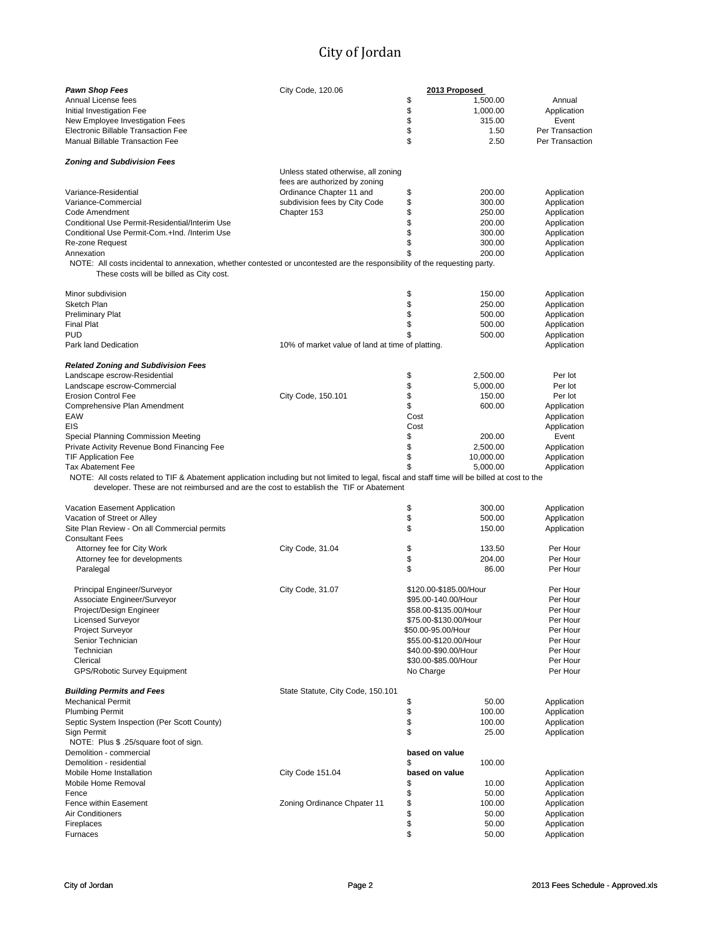| <b>Pawn Shop Fees</b>                                                                                                                                                                                                                    | City Code, 120.06                                                    |                       | 2013 Proposed          |                            |
|------------------------------------------------------------------------------------------------------------------------------------------------------------------------------------------------------------------------------------------|----------------------------------------------------------------------|-----------------------|------------------------|----------------------------|
| Annual License fees                                                                                                                                                                                                                      |                                                                      | \$                    | 1,500.00               | Annual                     |
| Initial Investigation Fee                                                                                                                                                                                                                |                                                                      | \$                    | 1,000.00               | Application                |
| New Employee Investigation Fees                                                                                                                                                                                                          |                                                                      | \$                    | 315.00                 | Event                      |
| Electronic Billable Transaction Fee                                                                                                                                                                                                      |                                                                      | \$                    | 1.50                   | Per Transaction            |
| <b>Manual Billable Transaction Fee</b>                                                                                                                                                                                                   |                                                                      | \$                    | 2.50                   | Per Transaction            |
| <b>Zoning and Subdivision Fees</b>                                                                                                                                                                                                       |                                                                      |                       |                        |                            |
|                                                                                                                                                                                                                                          | Unless stated otherwise, all zoning<br>fees are authorized by zoning |                       |                        |                            |
|                                                                                                                                                                                                                                          |                                                                      |                       |                        |                            |
| Variance-Residential<br>Variance-Commercial                                                                                                                                                                                              | Ordinance Chapter 11 and                                             | \$<br>\$              | 200.00<br>300.00       | Application                |
| Code Amendment                                                                                                                                                                                                                           | subdivision fees by City Code<br>Chapter 153                         | \$                    | 250.00                 | Application<br>Application |
| Conditional Use Permit-Residential/Interim Use                                                                                                                                                                                           |                                                                      | \$                    | 200.00                 | Application                |
| Conditional Use Permit-Com.+Ind. /Interim Use                                                                                                                                                                                            |                                                                      | \$                    | 300.00                 | Application                |
| Re-zone Request                                                                                                                                                                                                                          |                                                                      | \$                    | 300.00                 |                            |
| Annexation                                                                                                                                                                                                                               |                                                                      | \$                    | 200.00                 | Application                |
| NOTE: All costs incidental to annexation, whether contested or uncontested are the responsibility of the requesting party.                                                                                                               |                                                                      |                       |                        | Application                |
| These costs will be billed as City cost.                                                                                                                                                                                                 |                                                                      |                       |                        |                            |
| Minor subdivision                                                                                                                                                                                                                        |                                                                      | \$                    | 150.00                 | Application                |
| Sketch Plan                                                                                                                                                                                                                              |                                                                      | \$                    | 250.00                 | Application                |
| <b>Preliminary Plat</b>                                                                                                                                                                                                                  |                                                                      | \$                    | 500.00                 | Application                |
| <b>Final Plat</b>                                                                                                                                                                                                                        |                                                                      | \$                    | 500.00                 | Application                |
| <b>PUD</b>                                                                                                                                                                                                                               |                                                                      |                       | 500.00                 | Application                |
| Park land Dedication                                                                                                                                                                                                                     | 10% of market value of land at time of platting.                     |                       |                        | Application                |
| <b>Related Zoning and Subdivision Fees</b>                                                                                                                                                                                               |                                                                      |                       |                        |                            |
| Landscape escrow-Residential                                                                                                                                                                                                             |                                                                      | \$                    | 2,500.00               | Per lot                    |
| Landscape escrow-Commercial                                                                                                                                                                                                              |                                                                      | \$                    | 5,000.00               | Per lot                    |
| <b>Erosion Control Fee</b>                                                                                                                                                                                                               | City Code, 150.101                                                   | \$                    | 150.00                 | Per lot                    |
| Comprehensive Plan Amendment                                                                                                                                                                                                             |                                                                      | \$                    | 600.00                 | Application                |
| EAW                                                                                                                                                                                                                                      |                                                                      | Cost                  |                        | Application                |
| EIS                                                                                                                                                                                                                                      |                                                                      | Cost                  |                        | Application                |
| Special Planning Commission Meeting                                                                                                                                                                                                      |                                                                      | \$                    | 200.00                 | Event                      |
| Private Activity Revenue Bond Financing Fee                                                                                                                                                                                              |                                                                      | \$                    | 2,500.00               | Application                |
| <b>TIF Application Fee</b>                                                                                                                                                                                                               |                                                                      | \$                    | 10,000.00              | Application                |
| <b>Tax Abatement Fee</b>                                                                                                                                                                                                                 |                                                                      | \$                    | 5,000.00               | Application                |
| NOTE: All costs related to TIF & Abatement application including but not limited to legal, fiscal and staff time will be billed at cost to the<br>developer. These are not reimbursed and are the cost to establish the TIF or Abatement |                                                                      |                       |                        |                            |
| Vacation Easement Application                                                                                                                                                                                                            |                                                                      | \$                    | 300.00                 | Application                |
| Vacation of Street or Alley                                                                                                                                                                                                              |                                                                      | \$                    | 500.00                 | Application                |
| Site Plan Review - On all Commercial permits                                                                                                                                                                                             |                                                                      | \$                    | 150.00                 | Application                |
| <b>Consultant Fees</b>                                                                                                                                                                                                                   |                                                                      |                       |                        |                            |
| Attorney fee for City Work                                                                                                                                                                                                               | City Code, 31.04                                                     | \$                    | 133.50                 | Per Hour                   |
| Attorney fee for developments                                                                                                                                                                                                            |                                                                      | \$                    | 204.00                 | Per Hour                   |
| Paralegal                                                                                                                                                                                                                                |                                                                      | \$                    | 86.00                  | Per Hour                   |
| Principal Engineer/Surveyor                                                                                                                                                                                                              | City Code, 31.07                                                     |                       | \$120.00-\$185.00/Hour | Per Hour                   |
| Associate Engineer/Surveyor                                                                                                                                                                                                              |                                                                      | \$95.00-140.00/Hour   |                        | Per Hour                   |
| Project/Design Engineer                                                                                                                                                                                                                  |                                                                      | \$58.00-\$135.00/Hour |                        | Per Hour                   |
| <b>Licensed Surveyor</b>                                                                                                                                                                                                                 |                                                                      | \$75.00-\$130.00/Hour |                        | Per Hour                   |
| <b>Project Surveyor</b>                                                                                                                                                                                                                  |                                                                      | \$50.00-95.00/Hour    |                        | Per Hour                   |
| Senior Technician                                                                                                                                                                                                                        |                                                                      | \$55.00-\$120.00/Hour |                        | Per Hour                   |
| Technician                                                                                                                                                                                                                               |                                                                      | \$40.00-\$90.00/Hour  |                        | Per Hour                   |
| Clerical                                                                                                                                                                                                                                 |                                                                      | \$30.00-\$85.00/Hour  |                        | Per Hour                   |
| GPS/Robotic Survey Equipment                                                                                                                                                                                                             |                                                                      | No Charge             |                        | Per Hour                   |
| <b>Building Permits and Fees</b>                                                                                                                                                                                                         | State Statute, City Code, 150.101                                    |                       |                        |                            |
| <b>Mechanical Permit</b>                                                                                                                                                                                                                 |                                                                      | \$                    | 50.00                  | Application                |
| <b>Plumbing Permit</b>                                                                                                                                                                                                                   |                                                                      | \$                    | 100.00                 | Application                |
| Septic System Inspection (Per Scott County)                                                                                                                                                                                              |                                                                      | \$                    | 100.00                 | Application                |
| Sign Permit<br>NOTE: Plus \$.25/square foot of sign.                                                                                                                                                                                     |                                                                      | \$                    | 25.00                  | Application                |
| Demolition - commercial                                                                                                                                                                                                                  |                                                                      | based on value        |                        |                            |
| Demolition - residential                                                                                                                                                                                                                 |                                                                      | \$                    | 100.00                 |                            |
| Mobile Home Installation                                                                                                                                                                                                                 | City Code 151.04                                                     | based on value        |                        | Application                |
| Mobile Home Removal                                                                                                                                                                                                                      |                                                                      | \$                    | 10.00                  | Application                |
| Fence                                                                                                                                                                                                                                    |                                                                      | \$                    | 50.00                  | Application                |
| Fence within Easement                                                                                                                                                                                                                    | Zoning Ordinance Chpater 11                                          | \$                    | 100.00                 | Application                |
| Air Conditioners                                                                                                                                                                                                                         |                                                                      | \$                    | 50.00                  | Application                |
| Fireplaces                                                                                                                                                                                                                               |                                                                      | \$                    | 50.00                  | Application                |
| Furnaces                                                                                                                                                                                                                                 |                                                                      | \$                    | 50.00                  | Application                |
|                                                                                                                                                                                                                                          |                                                                      |                       |                        |                            |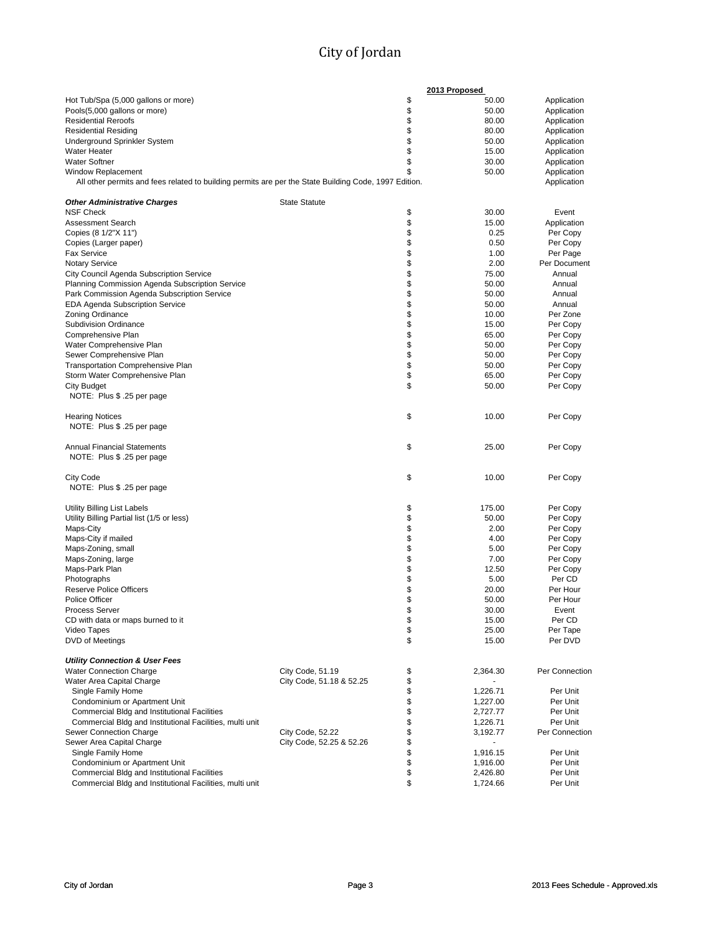|                                                                                                       |                          | 2013 Proposed  |                |
|-------------------------------------------------------------------------------------------------------|--------------------------|----------------|----------------|
| Hot Tub/Spa (5,000 gallons or more)                                                                   |                          | \$<br>50.00    | Application    |
| Pools(5,000 gallons or more)                                                                          |                          | \$<br>50.00    | Application    |
|                                                                                                       |                          | \$<br>80.00    |                |
| <b>Residential Reroofs</b>                                                                            |                          |                | Application    |
| <b>Residential Residing</b>                                                                           |                          | \$<br>80.00    | Application    |
| Underground Sprinkler System                                                                          |                          | \$<br>50.00    | Application    |
| <b>Water Heater</b>                                                                                   |                          | \$<br>15.00    | Application    |
| <b>Water Softner</b>                                                                                  |                          | \$<br>30.00    | Application    |
| <b>Window Replacement</b>                                                                             |                          | \$<br>50.00    | Application    |
| All other permits and fees related to building permits are per the State Building Code, 1997 Edition. |                          |                | Application    |
|                                                                                                       |                          |                |                |
| <b>Other Administrative Charges</b>                                                                   | <b>State Statute</b>     |                |                |
| <b>NSF Check</b>                                                                                      |                          | \$<br>30.00    | Event          |
| <b>Assessment Search</b>                                                                              |                          | \$<br>15.00    | Application    |
| Copies (8 1/2"X 11")                                                                                  |                          | \$<br>0.25     | Per Copy       |
|                                                                                                       |                          | \$<br>0.50     | Per Copy       |
| Copies (Larger paper)                                                                                 |                          |                |                |
| <b>Fax Service</b>                                                                                    |                          | \$<br>1.00     | Per Page       |
| <b>Notary Service</b>                                                                                 |                          | \$<br>2.00     | Per Document   |
| City Council Agenda Subscription Service                                                              |                          | \$<br>75.00    | Annual         |
| Planning Commission Agenda Subscription Service                                                       |                          | \$<br>50.00    | Annual         |
| Park Commission Agenda Subscription Service                                                           |                          | \$<br>50.00    | Annual         |
| <b>EDA Agenda Subscription Service</b>                                                                |                          | \$<br>50.00    | Annual         |
| <b>Zoning Ordinance</b>                                                                               |                          | \$<br>10.00    | Per Zone       |
| <b>Subdivision Ordinance</b>                                                                          |                          | \$<br>15.00    | Per Copy       |
| Comprehensive Plan                                                                                    |                          | \$<br>65.00    | Per Copy       |
| Water Comprehensive Plan                                                                              |                          | \$<br>50.00    | Per Copy       |
|                                                                                                       |                          |                |                |
| Sewer Comprehensive Plan                                                                              |                          | \$<br>50.00    | Per Copy       |
| <b>Transportation Comprehensive Plan</b>                                                              |                          | \$<br>50.00    | Per Copy       |
| Storm Water Comprehensive Plan                                                                        |                          | \$<br>65.00    | Per Copy       |
| <b>City Budget</b>                                                                                    |                          | \$<br>50.00    | Per Copy       |
| NOTE: Plus \$ .25 per page                                                                            |                          |                |                |
|                                                                                                       |                          |                |                |
| <b>Hearing Notices</b>                                                                                |                          | \$<br>10.00    | Per Copy       |
| NOTE: Plus \$ .25 per page                                                                            |                          |                |                |
|                                                                                                       |                          |                |                |
| <b>Annual Financial Statements</b>                                                                    |                          | \$<br>25.00    | Per Copy       |
| NOTE: Plus \$ .25 per page                                                                            |                          |                |                |
|                                                                                                       |                          |                |                |
| <b>City Code</b>                                                                                      |                          | \$<br>10.00    | Per Copy       |
| NOTE: Plus \$ .25 per page                                                                            |                          |                |                |
|                                                                                                       |                          |                |                |
|                                                                                                       |                          |                |                |
| Utility Billing List Labels                                                                           |                          | \$<br>175.00   | Per Copy       |
| Utility Billing Partial list (1/5 or less)                                                            |                          | \$<br>50.00    | Per Copy       |
| Maps-City                                                                                             |                          | \$<br>2.00     | Per Copy       |
| Maps-City if mailed                                                                                   |                          | \$<br>4.00     | Per Copy       |
| Maps-Zoning, small                                                                                    |                          | \$<br>5.00     | Per Copy       |
| Maps-Zoning, large                                                                                    |                          | \$<br>7.00     | Per Copy       |
| Maps-Park Plan                                                                                        |                          | \$<br>12.50    | Per Copy       |
| Photographs                                                                                           |                          | \$<br>5.00     | Per CD         |
| <b>Reserve Police Officers</b>                                                                        |                          | \$<br>20.00    | Per Hour       |
| <b>Police Officer</b>                                                                                 |                          | \$<br>50.00    | Per Hour       |
|                                                                                                       |                          |                |                |
| <b>Process Server</b>                                                                                 |                          | \$<br>30.00    | Event          |
| CD with data or maps burned to it                                                                     |                          | \$<br>15.00    | Per CD         |
| Video Tapes                                                                                           |                          | \$<br>25.00    | Per Tape       |
| DVD of Meetings                                                                                       |                          | \$<br>15.00    | Per DVD        |
|                                                                                                       |                          |                |                |
| <b>Utility Connection &amp; User Fees</b>                                                             |                          |                |                |
| <b>Water Connection Charge</b>                                                                        | City Code, 51.19         | \$<br>2,364.30 | Per Connection |
| Water Area Capital Charge                                                                             | City Code, 51.18 & 52.25 | \$             |                |
| Single Family Home                                                                                    |                          | \$<br>1,226.71 | Per Unit       |
| Condominium or Apartment Unit                                                                         |                          | \$<br>1,227.00 | Per Unit       |
| Commercial Bldg and Institutional Facilities                                                          |                          | \$<br>2,727.77 | Per Unit       |
| Commercial Bldg and Institutional Facilities, multi unit                                              |                          | \$<br>1,226.71 | Per Unit       |
| Sewer Connection Charge                                                                               | City Code, 52.22         | \$<br>3,192.77 | Per Connection |
| Sewer Area Capital Charge                                                                             | City Code, 52.25 & 52.26 | \$             |                |
|                                                                                                       |                          |                | Per Unit       |
| Single Family Home                                                                                    |                          | \$<br>1,916.15 |                |
| Condominium or Apartment Unit                                                                         |                          | \$<br>1,916.00 | Per Unit       |
| Commercial Bldg and Institutional Facilities                                                          |                          | \$<br>2,426.80 | Per Unit       |
| Commercial Bldg and Institutional Facilities, multi unit                                              |                          | \$<br>1,724.66 | Per Unit       |